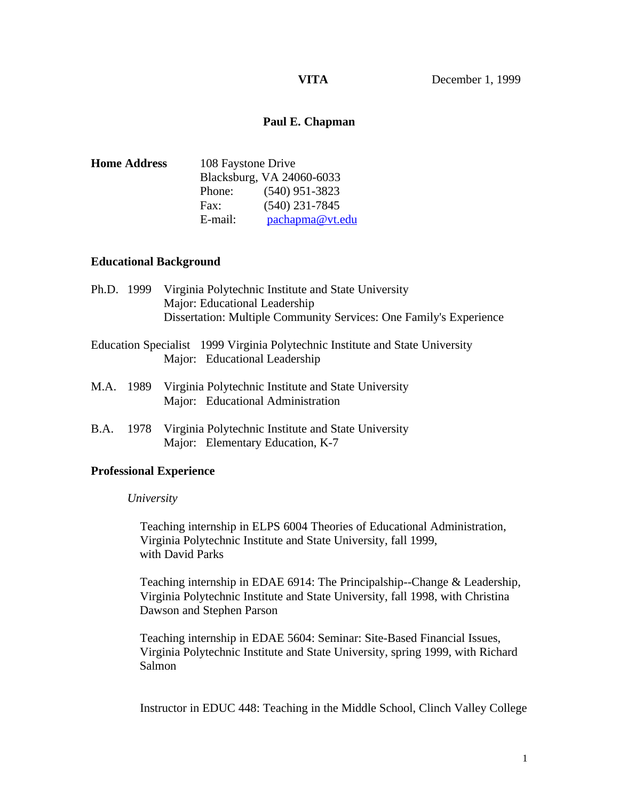# **Paul E. Chapman**

| <b>Home Address</b> | 108 Faystone Drive        |                  |
|---------------------|---------------------------|------------------|
|                     | Blacksburg, VA 24060-6033 |                  |
|                     | Phone:                    | $(540)$ 951-3823 |
|                     | Fax:                      | $(540)$ 231-7845 |
|                     | E-mail:                   | pachapma@vt.edu  |

# **Educational Background**

|           | Ph.D. 1999 | Virginia Polytechnic Institute and State University<br>Major: Educational Leadership                           |
|-----------|------------|----------------------------------------------------------------------------------------------------------------|
|           |            | Dissertation: Multiple Community Services: One Family's Experience                                             |
|           |            | Education Specialist 1999 Virginia Polytechnic Institute and State University<br>Major: Educational Leadership |
| M.A. 1989 |            | Virginia Polytechnic Institute and State University<br>Major: Educational Administration                       |
| B.A.      | 1978       | Virginia Polytechnic Institute and State University<br>Major: Elementary Education, K-7                        |

### **Professional Experience**

### *University*

 Teaching internship in ELPS 6004 Theories of Educational Administration, Virginia Polytechnic Institute and State University, fall 1999, with David Parks

 Teaching internship in EDAE 6914: The Principalship--Change & Leadership, Virginia Polytechnic Institute and State University, fall 1998, with Christina Dawson and Stephen Parson

 Teaching internship in EDAE 5604: Seminar: Site-Based Financial Issues, Virginia Polytechnic Institute and State University, spring 1999, with Richard Salmon

Instructor in EDUC 448: Teaching in the Middle School, Clinch Valley College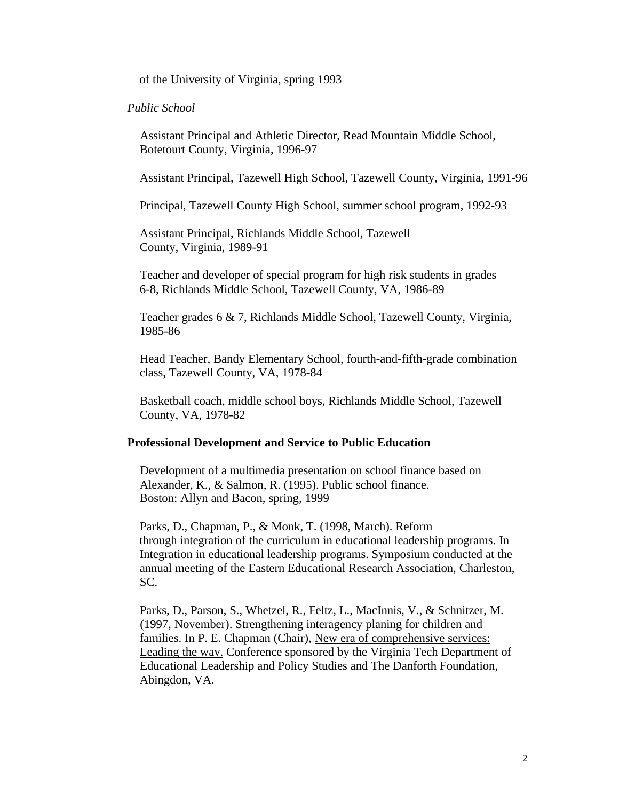of the University of Virginia, spring 1993

#### *Public School*

 Assistant Principal and Athletic Director, Read Mountain Middle School, Botetourt County, Virginia, 1996-97

Assistant Principal, Tazewell High School, Tazewell County, Virginia, 1991-96

Principal, Tazewell County High School, summer school program, 1992-93

 Assistant Principal, Richlands Middle School, Tazewell County, Virginia, 1989-91

 Teacher and developer of special program for high risk students in grades 6-8, Richlands Middle School, Tazewell County, VA, 1986-89

 Teacher grades 6 & 7, Richlands Middle School, Tazewell County, Virginia, 1985-86

 Head Teacher, Bandy Elementary School, fourth-and-fifth-grade combination class, Tazewell County, VA, 1978-84

 Basketball coach, middle school boys, Richlands Middle School, Tazewell County, VA, 1978-82

#### **Professional Development and Service to Public Education**

 Development of a multimedia presentation on school finance based on Alexander, K., & Salmon, R. (1995). Public school finance. Boston: Allyn and Bacon, spring, 1999

 Parks, D., Chapman, P., & Monk, T. (1998, March). Reform through integration of the curriculum in educational leadership programs. In Integration in educational leadership programs. Symposium conducted at the annual meeting of the Eastern Educational Research Association, Charleston, SC.

 Parks, D., Parson, S., Whetzel, R., Feltz, L., MacInnis, V., & Schnitzer, M. (1997, November). Strengthening interagency planing for children and families. In P. E. Chapman (Chair), New era of comprehensive services: Leading the way. Conference sponsored by the Virginia Tech Department of Educational Leadership and Policy Studies and The Danforth Foundation, Abingdon, VA.